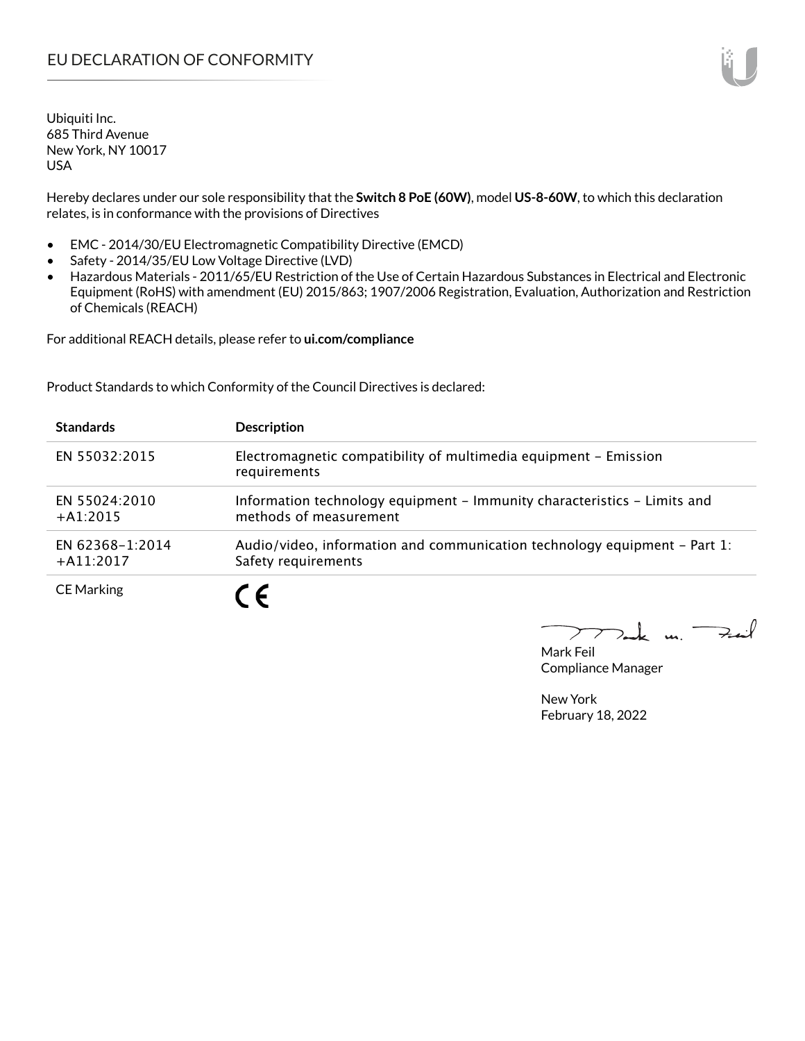Hereby declares under our sole responsibility that the **Switch 8 PoE (60W)**, model **US-8-60W**, to which this declaration relates, is in conformance with the provisions of Directives

- EMC 2014/30/EU Electromagnetic Compatibility Directive (EMCD)
- Safety 2014/35/EU Low Voltage Directive (LVD)
- Hazardous Materials 2011/65/EU Restriction of the Use of Certain Hazardous Substances in Electrical and Electronic Equipment (RoHS) with amendment (EU) 2015/863; 1907/2006 Registration, Evaluation, Authorization and Restriction of Chemicals (REACH)

For additional REACH details, please refer to **ui.com/compliance**

Product Standards to which Conformity of the Council Directives is declared:

| <b>Standards</b>               | <b>Description</b>                                                                                 |
|--------------------------------|----------------------------------------------------------------------------------------------------|
| EN 55032:2015                  | Electromagnetic compatibility of multimedia equipment - Emission<br>requirements                   |
| EN 55024:2010<br>$+41:2015$    | Information technology equipment – Immunity characteristics – Limits and<br>methods of measurement |
| EN 62368-1:2014<br>$+A11:2017$ | Audio/video, information and communication technology equipment – Part 1:<br>Safety requirements   |
| <b>CE Marking</b>              |                                                                                                    |

Tak m. Fail

Mark Feil Compliance Manager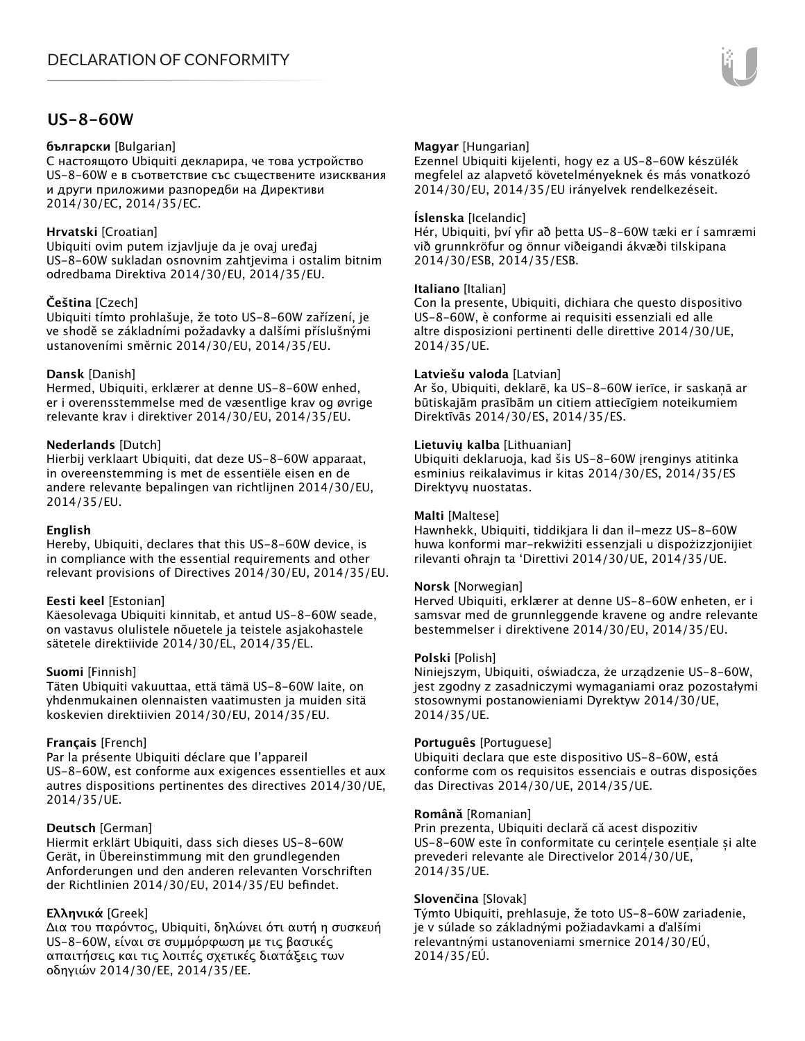### **US-8-60W**

#### **български** [Bulgarian]

С настоящото Ubiquiti декларира, че това устройство US-8-60W е в съответствие със съществените изисквания и други приложими разпоредби на Директиви 2014/30/ЕС, 2014/35/ЕС.

#### **Hrvatski** [Croatian]

Ubiquiti ovim putem izjavljuje da je ovaj uređaj US-8-60W sukladan osnovnim zahtjevima i ostalim bitnim odredbama Direktiva 2014/30/EU, 2014/35/EU.

#### **Čeština** [Czech]

Ubiquiti tímto prohlašuje, že toto US-8-60W zařízení, je ve shodě se základními požadavky a dalšími příslušnými ustanoveními směrnic 2014/30/EU, 2014/35/EU.

#### **Dansk** [Danish]

Hermed, Ubiquiti, erklærer at denne US-8-60W enhed, er i overensstemmelse med de væsentlige krav og øvrige relevante krav i direktiver 2014/30/EU, 2014/35/EU.

#### **Nederlands** [Dutch]

Hierbij verklaart Ubiquiti, dat deze US-8-60W apparaat, in overeenstemming is met de essentiële eisen en de andere relevante bepalingen van richtlijnen 2014/30/EU, 2014/35/EU.

#### **English**

Hereby, Ubiquiti, declares that this US-8-60W device, is in compliance with the essential requirements and other relevant provisions of Directives 2014/30/EU, 2014/35/EU.

#### **Eesti keel** [Estonian]

Käesolevaga Ubiquiti kinnitab, et antud US-8-60W seade, on vastavus olulistele nõuetele ja teistele asjakohastele sätetele direktiivide 2014/30/EL, 2014/35/EL.

#### **Suomi** [Finnish]

Täten Ubiquiti vakuuttaa, että tämä US-8-60W laite, on yhdenmukainen olennaisten vaatimusten ja muiden sitä koskevien direktiivien 2014/30/EU, 2014/35/EU.

#### **Français** [French]

Par la présente Ubiquiti déclare que l'appareil US-8-60W, est conforme aux exigences essentielles et aux autres dispositions pertinentes des directives 2014/30/UE, 2014/35/UE.

#### **Deutsch** [German]

Hiermit erklärt Ubiquiti, dass sich dieses US-8-60W Gerät, in Übereinstimmung mit den grundlegenden Anforderungen und den anderen relevanten Vorschriften der Richtlinien 2014/30/EU, 2014/35/EU befindet.

#### **Ελληνικά** [Greek]

Δια του παρόντος, Ubiquiti, δηλώνει ότι αυτή η συσκευή US-8-60W, είναι σε συμμόρφωση με τις βασικές απαιτήσεις και τις λοιπές σχετικές διατάξεις των οδηγιών 2014/30/EE, 2014/35/EE.

#### **Magyar** [Hungarian]

Ezennel Ubiquiti kijelenti, hogy ez a US-8-60W készülék megfelel az alapvető követelményeknek és más vonatkozó 2014/30/EU, 2014/35/EU irányelvek rendelkezéseit.

#### **Íslenska** [Icelandic]

Hér, Ubiquiti, því yfir að þetta US-8-60W tæki er í samræmi við grunnkröfur og önnur viðeigandi ákvæði tilskipana 2014/30/ESB, 2014/35/ESB.

#### **Italiano** [Italian]

Con la presente, Ubiquiti, dichiara che questo dispositivo US-8-60W, è conforme ai requisiti essenziali ed alle altre disposizioni pertinenti delle direttive 2014/30/UE, 2014/35/UE.

#### **Latviešu valoda** [Latvian]

Ar šo, Ubiquiti, deklarē, ka US-8-60W ierīce, ir saskaņā ar būtiskajām prasībām un citiem attiecīgiem noteikumiem Direktīvās 2014/30/ES, 2014/35/ES.

#### **Lietuvių kalba** [Lithuanian]

Ubiquiti deklaruoja, kad šis US-8-60W įrenginys atitinka esminius reikalavimus ir kitas 2014/30/ES, 2014/35/ES Direktyvų nuostatas.

#### **Malti** [Maltese]

Hawnhekk, Ubiquiti, tiddikjara li dan il-mezz US-8-60W huwa konformi mar-rekwiżiti essenzjali u dispożizzjonijiet rilevanti oħrajn ta 'Direttivi 2014/30/UE, 2014/35/UE.

#### **Norsk** [Norwegian]

Herved Ubiquiti, erklærer at denne US-8-60W enheten, er i samsvar med de grunnleggende kravene og andre relevante bestemmelser i direktivene 2014/30/EU, 2014/35/EU.

#### **Polski** [Polish]

Niniejszym, Ubiquiti, oświadcza, że urządzenie US-8-60W, jest zgodny z zasadniczymi wymaganiami oraz pozostałymi stosownymi postanowieniami Dyrektyw 2014/30/UE, 2014/35/UE.

#### **Português** [Portuguese]

Ubiquiti declara que este dispositivo US-8-60W, está conforme com os requisitos essenciais e outras disposições das Directivas 2014/30/UE, 2014/35/UE.

#### **Română** [Romanian]

Prin prezenta, Ubiquiti declară că acest dispozitiv US-8-60W este în conformitate cu cerințele esențiale și alte prevederi relevante ale Directivelor 2014/30/UE, 2014/35/UE.

#### **Slovenčina** [Slovak]

Týmto Ubiquiti, prehlasuje, že toto US-8-60W zariadenie, je v súlade so základnými požiadavkami a ďalšími relevantnými ustanoveniami smernice 2014/30/EÚ, 2014/35/EÚ.

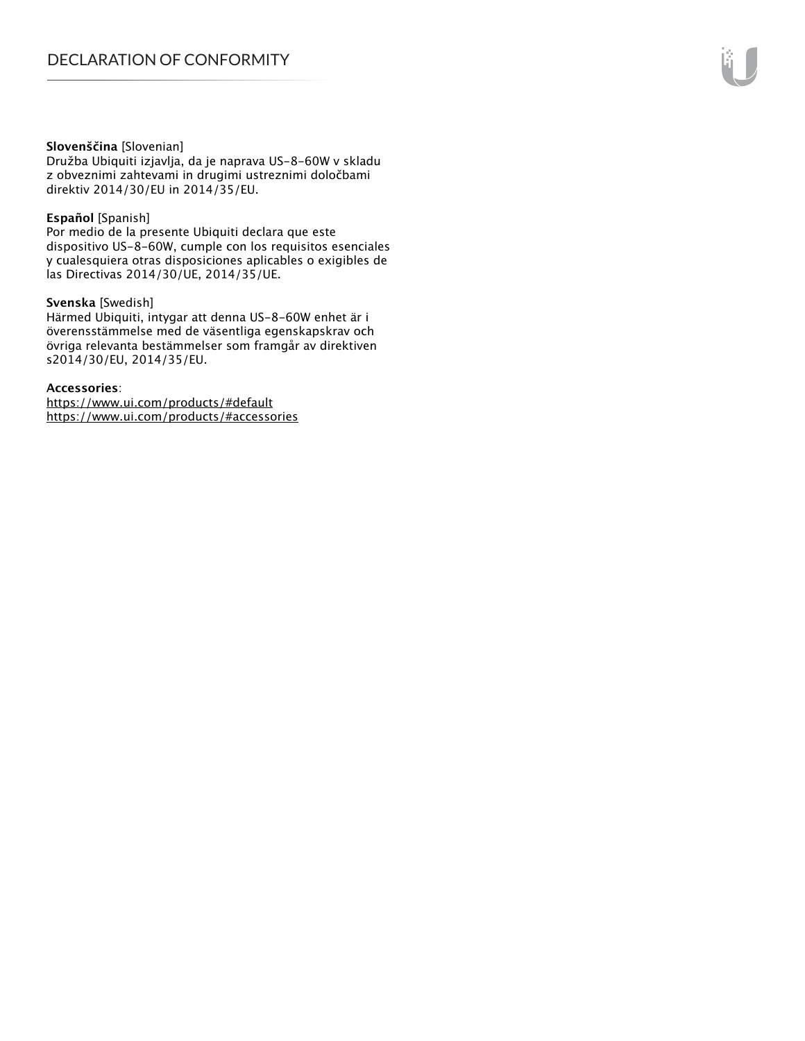#### **Slovenščina** [Slovenian]

Družba Ubiquiti izjavlja, da je naprava US-8-60W v skladu z obveznimi zahtevami in drugimi ustreznimi določbami direktiv 2014/30/EU in 2014/35/EU.

#### **Español** [Spanish]

Por medio de la presente Ubiquiti declara que este dispositivo US-8-60W, cumple con los requisitos esenciales y cualesquiera otras disposiciones aplicables o exigibles de las Directivas 2014/30/UE, 2014/35/UE.

#### **Svenska** [Swedish]

Härmed Ubiquiti, intygar att denna US-8-60W enhet är i överensstämmelse med de väsentliga egenskapskrav och övriga relevanta bestämmelser som framgår av direktiven s2014/30/EU, 2014/35/EU.

#### **Accessories**:

https://www.ui.com/products/#default https://www.ui.com/products/#accessories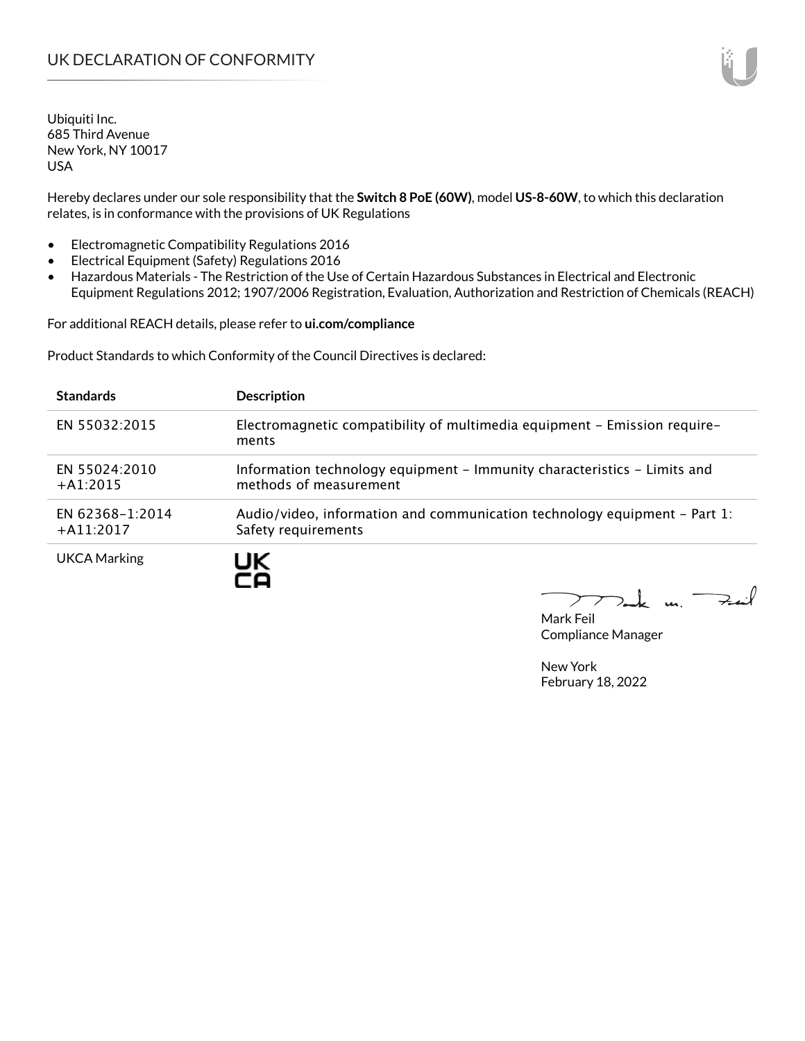Hereby declares under our sole responsibility that the **Switch 8 PoE (60W)**, model **US-8-60W**, to which this declaration relates, is in conformance with the provisions of UK Regulations

- Electromagnetic Compatibility Regulations 2016
- Electrical Equipment (Safety) Regulations 2016
- Hazardous Materials The Restriction of the Use of Certain Hazardous Substances in Electrical and Electronic Equipment Regulations 2012; 1907/2006 Registration, Evaluation, Authorization and Restriction of Chemicals (REACH)

For additional REACH details, please refer to **ui.com/compliance**

Product Standards to which Conformity of the Council Directives is declared:

| <b>Standards</b>                | <b>Description</b>                                                                                 |
|---------------------------------|----------------------------------------------------------------------------------------------------|
| EN 55032:2015                   | Electromagnetic compatibility of multimedia equipment - Emission require-<br>ments                 |
| EN 55024:2010<br>$+A1:2015$     | Information technology equipment – Immunity characteristics – Limits and<br>methods of measurement |
| EN 62368-1:2014<br>$+$ A11:2017 | Audio/video, information and communication technology equipment – Part 1:<br>Safety requirements   |
| <b>UKCA Marking</b>             | JK                                                                                                 |

 $k$  un  $\rightarrow$ 

Mark Feil Compliance Manager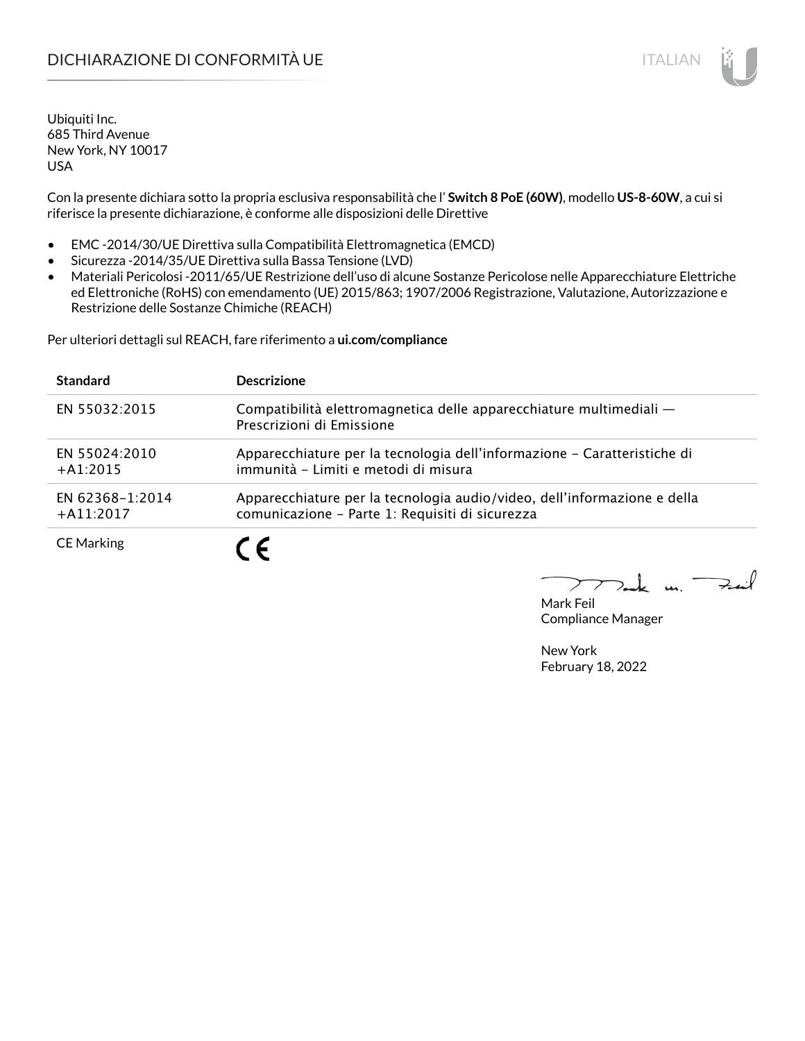# DICHIARAZIONE DI CONFORMITÀ UE ITALIAN ITALIAN

Ubiquiti Inc. 685 Third Avenue New York, NY 10017 USA

Con la presente dichiara sotto la propria esclusiva responsabilità che l' **Switch 8 PoE (60W)**, modello **US-8-60W**, a cui si riferisce la presente dichiarazione, è conforme alle disposizioni delle Direttive

- EMC -2014/30/UE Direttiva sulla Compatibilità Elettromagnetica (EMCD)
- Sicurezza -2014/35/UE Direttiva sulla Bassa Tensione (LVD)
- Materiali Pericolosi -2011/65/UE Restrizione dell'uso di alcune Sostanze Pericolose nelle Apparecchiature Elettriche ed Elettroniche (RoHS) con emendamento (UE) 2015/863; 1907/2006 Registrazione, Valutazione, Autorizzazione e Restrizione delle Sostanze Chimiche (REACH)

Per ulteriori dettagli sul REACH, fare riferimento a **ui.com/compliance**

| <b>Standard</b>                | <b>Descrizione</b>                                                                                                          |
|--------------------------------|-----------------------------------------------------------------------------------------------------------------------------|
| EN 55032:2015                  | Compatibilità elettromagnetica delle apparecchiature multimediali —<br>Prescrizioni di Emissione                            |
| EN 55024:2010<br>$+41:2015$    | Apparecchiature per la tecnologia dell'informazione – Caratteristiche di<br>immunità - Limiti e metodi di misura            |
| EN 62368-1:2014<br>$+A11:2017$ | Apparecchiature per la tecnologia audio/video, dell'informazione e della<br>comunicazione - Parte 1: Requisiti di sicurezza |
| <b>CE Marking</b>              |                                                                                                                             |

كمنعة  $\overline{u}$ 

Mark Feil Compliance Manager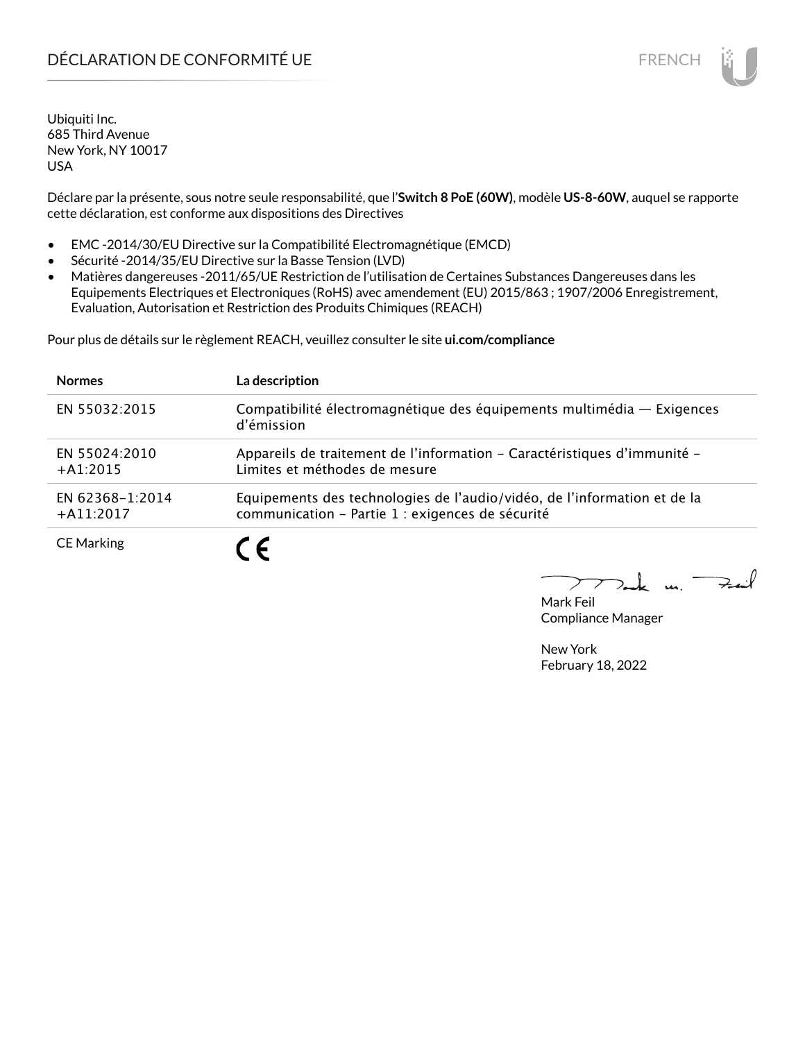# DÉCLARATION DE CONFORMITÉ UE EN ENCHANGEMENT DE CONFORMITÉ UNE ENCHANGEMENT DE CONFORMITÉ UNE ENCHANGEMENT DE

Ubiquiti Inc. 685 Third Avenue New York, NY 10017 USA

Déclare par la présente, sous notre seule responsabilité, que l'**Switch 8 PoE (60W)**, modèle **US-8-60W**, auquel se rapporte cette déclaration, est conforme aux dispositions des Directives

- EMC -2014/30/EU Directive sur la Compatibilité Electromagnétique (EMCD)
- Sécurité -2014/35/EU Directive sur la Basse Tension (LVD)
- Matières dangereuses -2011/65/UE Restriction de l'utilisation de Certaines Substances Dangereuses dans les Equipements Electriques et Electroniques (RoHS) avec amendement (EU) 2015/863 ; 1907/2006 Enregistrement, Evaluation, Autorisation et Restriction des Produits Chimiques (REACH)

Pour plus de détails sur le règlement REACH, veuillez consulter le site **ui.com/compliance**

| <b>Normes</b>                   | La description                                                                                                               |
|---------------------------------|------------------------------------------------------------------------------------------------------------------------------|
| EN 55032:2015                   | Compatibilité électromagnétique des équipements multimédia - Exigences<br>d'émission                                         |
| EN 55024:2010<br>$+41:2015$     | Appareils de traitement de l'information - Caractéristiques d'immunité -<br>Limites et méthodes de mesure                    |
| EN 62368-1:2014<br>$+$ A11:2017 | Equipements des technologies de l'audio/vidéo, de l'information et de la<br>communication - Partie 1 : exigences de sécurité |
| <b>CE Marking</b>               |                                                                                                                              |

 $\Rightarrow$ .  $\ell$  $\mathbf{a}$ 

Mark Feil Compliance Manager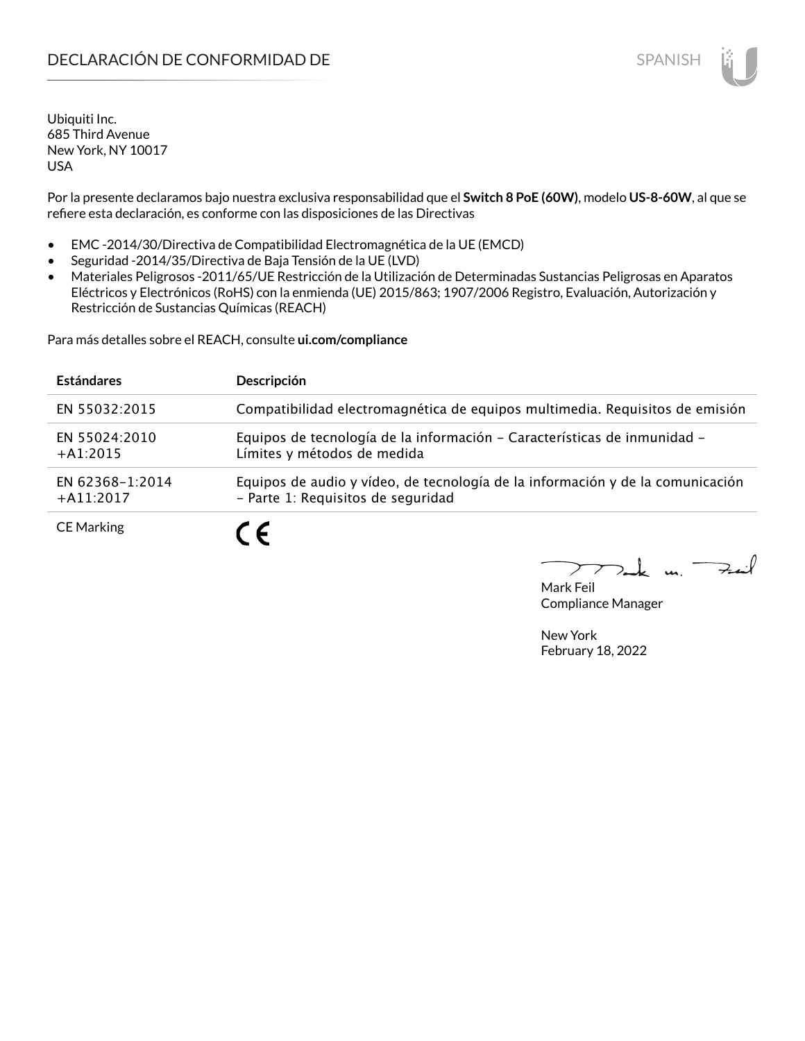Por la presente declaramos bajo nuestra exclusiva responsabilidad que el **Switch 8 PoE (60W)**, modelo **US-8-60W**, al que se refiere esta declaración, es conforme con las disposiciones de las Directivas

- EMC -2014/30/Directiva de Compatibilidad Electromagnética de la UE (EMCD)
- Seguridad -2014/35/Directiva de Baja Tensión de la UE (LVD)
- Materiales Peligrosos -2011/65/UE Restricción de la Utilización de Determinadas Sustancias Peligrosas en Aparatos Eléctricos y Electrónicos (RoHS) con la enmienda (UE) 2015/863; 1907/2006 Registro, Evaluación, Autorización y Restricción de Sustancias Químicas (REACH)

Para más detalles sobre el REACH, consulte **ui.com/compliance**

| <b>Estándares</b>               | Descripción                                                                                                          |
|---------------------------------|----------------------------------------------------------------------------------------------------------------------|
| EN 55032:2015                   | Compatibilidad electromagnética de equipos multimedia. Requisitos de emisión                                         |
| EN 55024:2010<br>$+ A1:2015$    | Equipos de tecnología de la información - Características de inmunidad -<br>Límites y métodos de medida              |
| EN 62368-1:2014<br>$+$ A11:2017 | Equipos de audio y vídeo, de tecnología de la información y de la comunicación<br>- Parte 1: Requisitos de seguridad |
| <b>CE Marking</b>               | $\overline{a}$                                                                                                       |

 $k$  un. Fail

Mark Feil Compliance Manager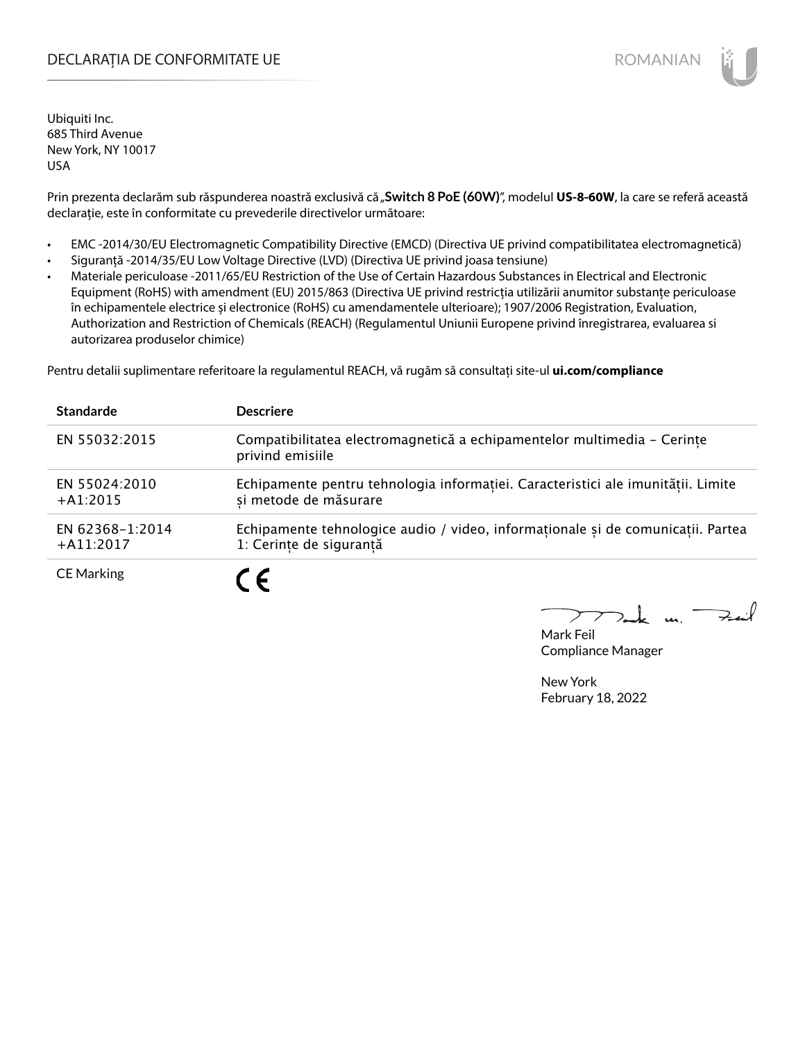### DECLARAȚIA DE CONFORMITATE UE EXTERNATION ANNO 1999 EN ANNO 1999 ROMANIAN

Ubiquiti Inc. 685 Third Avenue New York, NY 10017 USA

Prin prezenta declarăm sub răspunderea noastră exclusivă că "Switch 8 PoE (60W)", modelul US-8-60W, la care se referă această declarație, este în conformitate cu prevederile directivelor următoare:

- EMC -2014/30/EU Electromagnetic Compatibility Directive (EMCD) (Directiva UE privind compatibilitatea electromagnetică)
- Siguranță -2014/35/EU Low Voltage Directive (LVD) (Directiva UE privind joasa tensiune)
- Materiale periculoase -2011/65/EU Restriction of the Use of Certain Hazardous Substances in Electrical and Electronic Equipment (RoHS) with amendment (EU) 2015/863 (Directiva UE privind restricția utilizării anumitor substanțe periculoase în echipamentele electrice și electronice (RoHS) cu amendamentele ulterioare); 1907/2006 Registration, Evaluation, Authorization and Restriction of Chemicals (REACH) (Regulamentul Uniunii Europene privind înregistrarea, evaluarea si autorizarea produselor chimice)

Pentru detalii suplimentare referitoare la regulamentul REACH, vă rugăm să consultați site-ul **ui.com/compliance**

| <b>Standarde</b>                | <b>Descriere</b>                                                                                           |
|---------------------------------|------------------------------------------------------------------------------------------------------------|
| EN 55032:2015                   | Compatibilitatea electromagnetică a echipamentelor multimedia - Cerințe<br>privind emisiile                |
| EN 55024:2010<br>$+A1:2015$     | Echipamente pentru tehnologia informației. Caracteristici ale imunității. Limite<br>si metode de măsurare  |
| EN 62368-1:2014<br>$+$ A11:2017 | Echipamente tehnologice audio / video, informaționale și de comunicații. Partea<br>1: Cerinte de sigurantă |
| <b>CE Marking</b>               | C F                                                                                                        |

m. Fail

Mark Feil Compliance Manager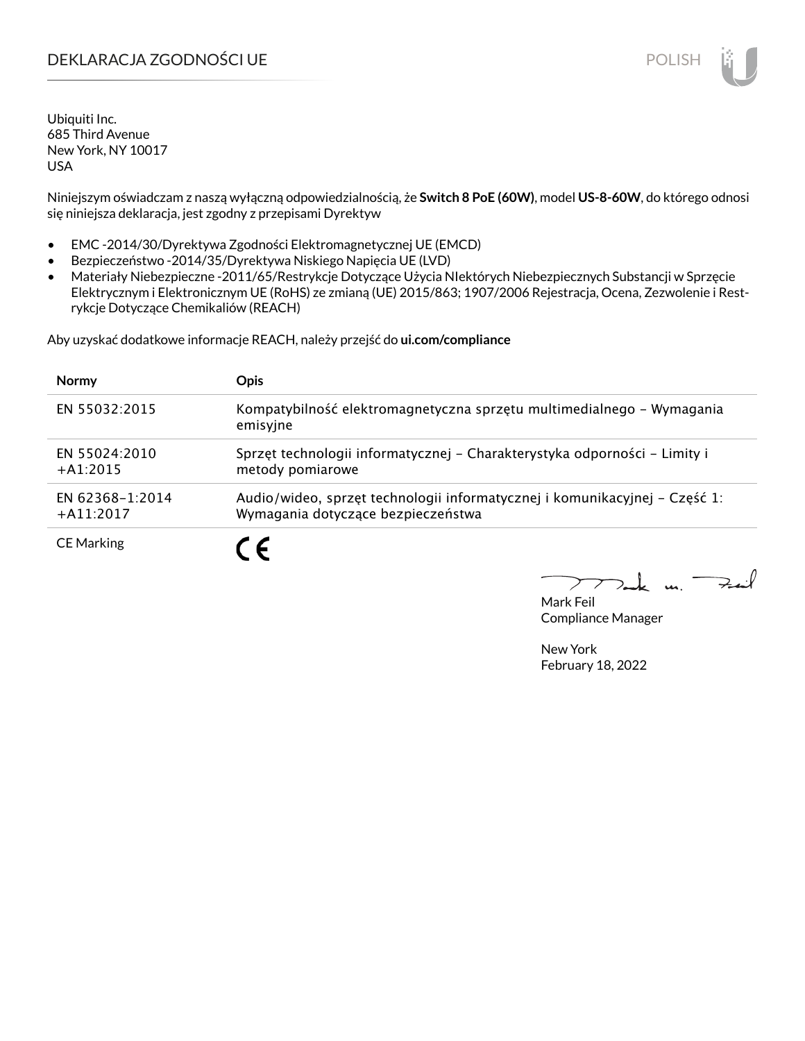## DEKLARACJA ZGODNOŚCI UE POLISH POLISH

Ubiquiti Inc. 685 Third Avenue New York, NY 10017 USA

Niniejszym oświadczam z naszą wyłączną odpowiedzialnością, że **Switch 8 PoE (60W)**, model **US-8-60W**, do którego odnosi się niniejsza deklaracja, jest zgodny z przepisami Dyrektyw

- EMC -2014/30/Dyrektywa Zgodności Elektromagnetycznej UE (EMCD)
- Bezpieczeństwo -2014/35/Dyrektywa Niskiego Napięcia UE (LVD)
- Materiały Niebezpieczne -2011/65/Restrykcje Dotyczące Użycia NIektórych Niebezpiecznych Substancji w Sprzęcie Elektrycznym i Elektronicznym UE (RoHS) ze zmianą (UE) 2015/863; 1907/2006 Rejestracja, Ocena, Zezwolenie i Restrykcje Dotyczące Chemikaliów (REACH)

Aby uzyskać dodatkowe informacje REACH, należy przejść do **ui.com/compliance**

| Normy                           | <b>Opis</b>                                                                                                      |
|---------------------------------|------------------------------------------------------------------------------------------------------------------|
| EN 55032:2015                   | Kompatybilność elektromagnetyczna sprzętu multimedialnego – Wymagania<br>emisyjne                                |
| EN 55024:2010<br>$+41:2015$     | Sprzęt technologii informatycznej – Charakterystyka odporności – Limity i<br>metody pomiarowe                    |
| EN 62368-1:2014<br>$+$ A11:2017 | Audio/wideo, sprzęt technologii informatycznej i komunikacyjnej – Część 1:<br>Wymagania dotyczące bezpieczeństwa |
| <b>CE Marking</b>               |                                                                                                                  |

 $\Rightarrow$ .  $\ell$  $\mathbf{A}$ 

Mark Feil Compliance Manager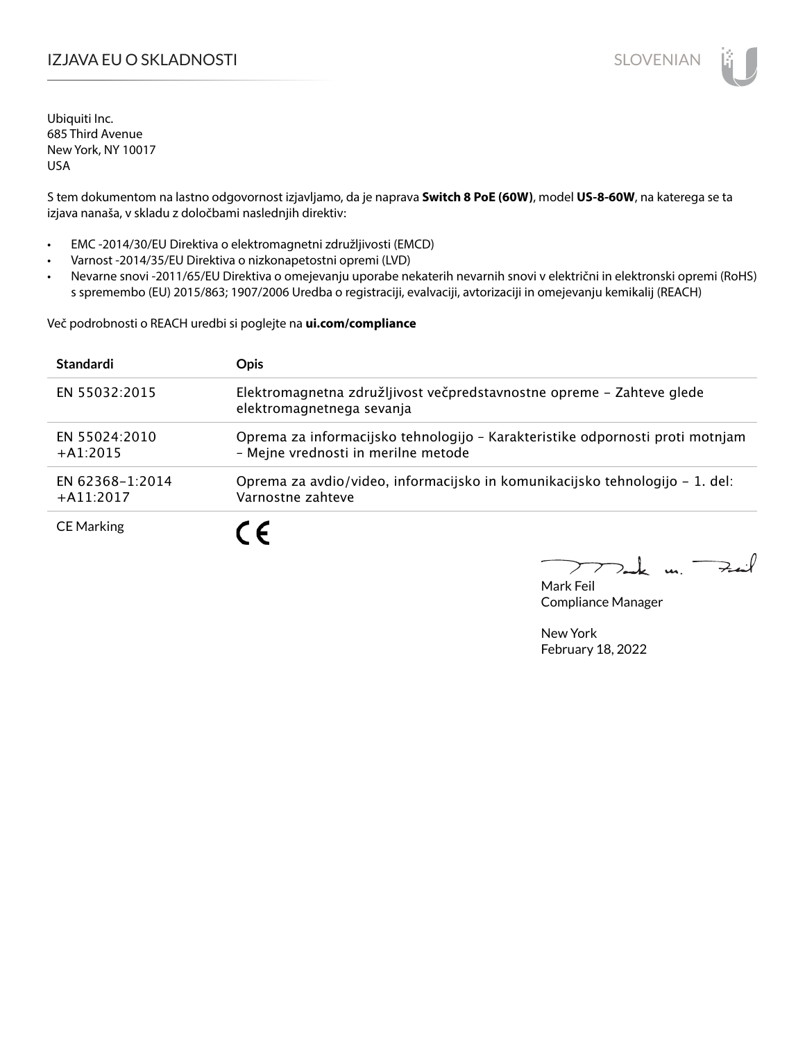## IZJAVA EU O SKLADNOSTI SLOVENIAN

Ubiquiti Inc. 685 Third Avenue New York, NY 10017 USA

S tem dokumentom na lastno odgovornost izjavljamo, da je naprava **Switch 8 PoE (60W)**, model **US-8-60W**, na katerega se ta izjava nanaša, v skladu z določbami naslednjih direktiv:

- EMC -2014/30/EU Direktiva o elektromagnetni združljivosti (EMCD)
- Varnost -2014/35/EU Direktiva o nizkonapetostni opremi (LVD)
- Nevarne snovi -2011/65/EU Direktiva o omejevanju uporabe nekaterih nevarnih snovi v električni in elektronski opremi (RoHS) s spremembo (EU) 2015/863; 1907/2006 Uredba o registraciji, evalvaciji, avtorizaciji in omejevanju kemikalij (REACH)

Več podrobnosti o REACH uredbi si poglejte na **ui.com/compliance**

| <b>Standardi</b>               | <b>Opis</b>                                                                                                          |
|--------------------------------|----------------------------------------------------------------------------------------------------------------------|
| EN 55032:2015                  | Elektromagnetna združljivost večpredstavnostne opreme - Zahteve glede<br>elektromagnetnega sevanja                   |
| EN 55024:2010<br>$+41:2015$    | Oprema za informacijsko tehnologijo - Karakteristike odpornosti proti motnjam<br>- Mejne vrednosti in merilne metode |
| EN 62368-1:2014<br>$+A11:2017$ | Oprema za avdio/video, informacijsko in komunikacijsko tehnologijo – 1. del:<br>Varnostne zahteve                    |
| <b>CE Marking</b>              | C F                                                                                                                  |

 $k$  un  $\rightarrow$ 

Mark Feil Compliance Manager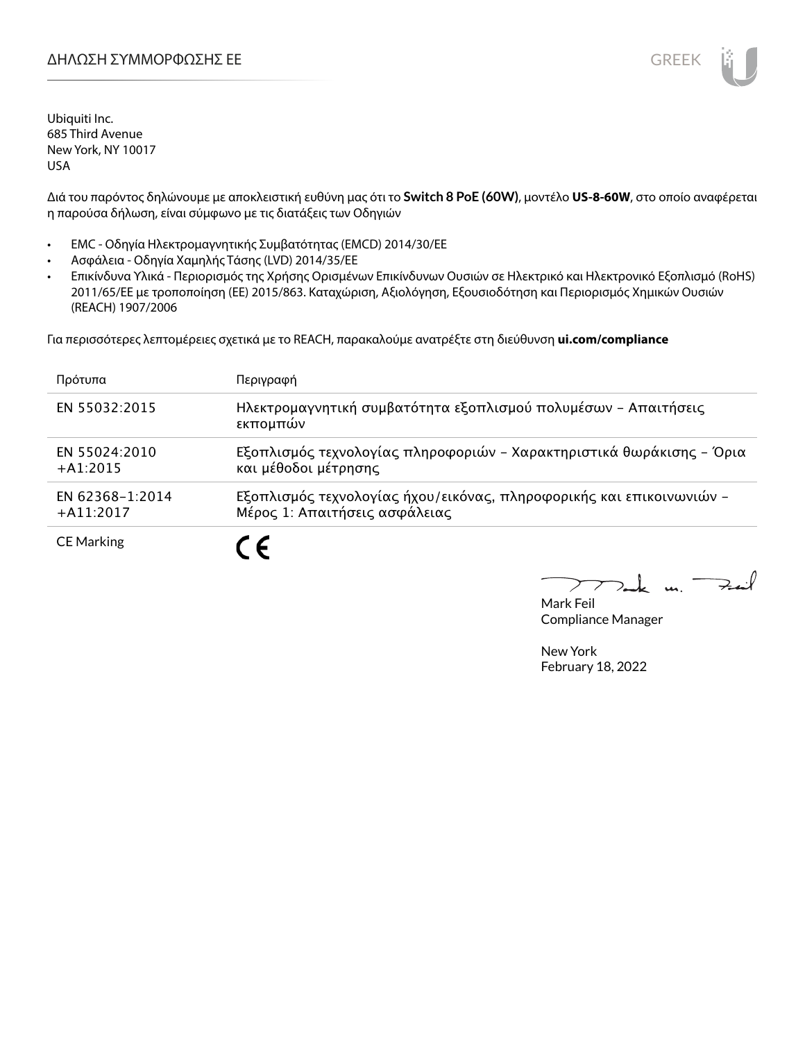

Διά του παρόντος δηλώνουμε με αποκλειστική ευθύνη μας ότι το **Switch 8 PoE (60W)**, μοντέλο **US-8-60W**, στο οποίο αναφέρεται η παρούσα δήλωση, είναι σύμφωνο με τις διατάξεις των Οδηγιών

- EMC Οδηγία Ηλεκτρομαγνητικής Συμβατότητας (EMCD) 2014/30/ΕΕ
- Ασφάλεια Οδηγία Χαμηλής Τάσης (LVD) 2014/35/ΕΕ
- Επικίνδυνα Υλικά Περιορισμός της Χρήσης Ορισμένων Επικίνδυνων Ουσιών σε Ηλεκτρικό και Ηλεκτρονικό Εξοπλισμό (RoHS) 2011/65/ΕΕ με τροποποίηση (ΕΕ) 2015/863. Καταχώριση, Αξιολόγηση, Εξουσιοδότηση και Περιορισμός Χημικών Ουσιών (REACH) 1907/2006

Για περισσότερες λεπτομέρειες σχετικά με το REACH, παρακαλούμε ανατρέξτε στη διεύθυνση **ui.com/compliance**

| Πρότυπα                         | Περιγραφή                                                                                             |
|---------------------------------|-------------------------------------------------------------------------------------------------------|
| EN 55032:2015                   | Ηλεκτρομαγνητική συμβατότητα εξοπλισμού πολυμέσων - Απαιτήσεις<br>εκπομπών                            |
| EN 55024:2010<br>$+41:2015$     | Εξοπλισμός τεχνολογίας πληροφοριών - Χαρακτηριστικά θωράκισης - Όρια<br>και μέθοδοι μέτρησης          |
| EN 62368-1:2014<br>$+$ A11:2017 | Εξοπλισμός τεχνολογίας ήχου/εικόνας, πληροφορικής και επικοινωνιών -<br>Μέρος 1: Απαιτήσεις ασφάλειας |
| <b>CE Marking</b>               |                                                                                                       |

لنعية  $\mathbf{a}$ 

Mark Feil Compliance Manager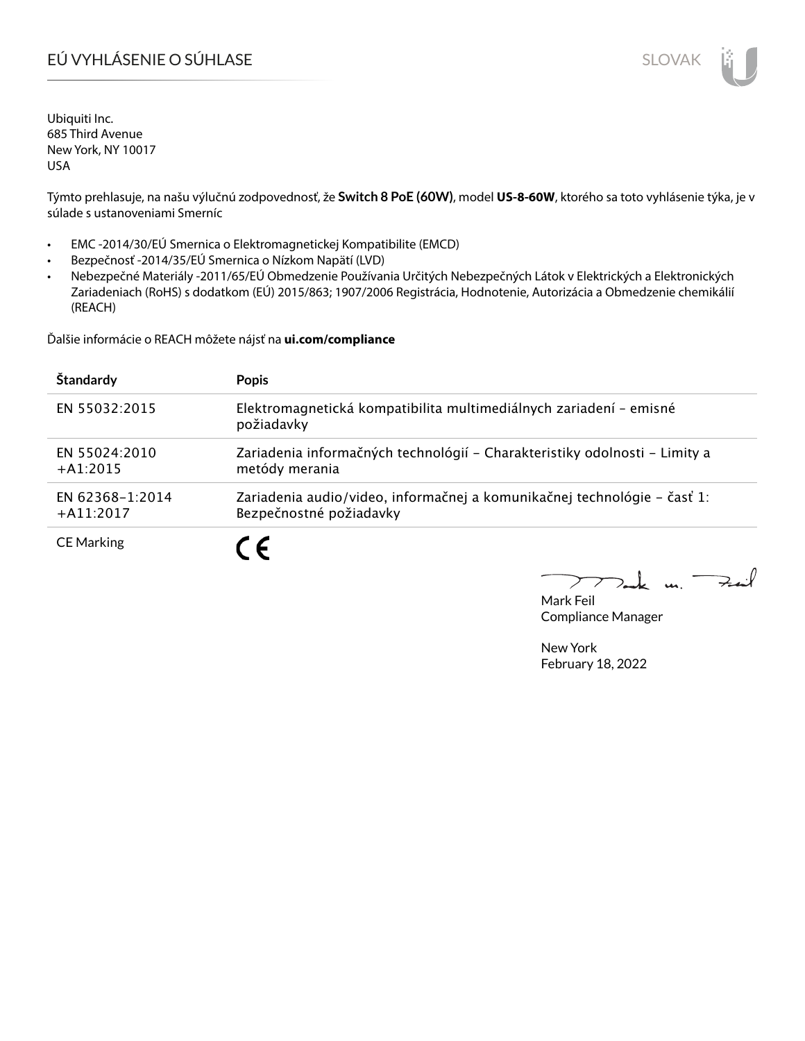# EÚ VYHLÁSENIE O SÚHLASE SLOVAK SLOVAK

Ubiquiti Inc. 685 Third Avenue New York, NY 10017 USA

Týmto prehlasuje, na našu výlučnú zodpovednosť, že **Switch 8 PoE (60W)**, model **US-8-60W**, ktorého sa toto vyhlásenie týka, je v súlade s ustanoveniami Smerníc

- EMC -2014/30/EÚ Smernica o Elektromagnetickej Kompatibilite (EMCD)
- Bezpečnosť -2014/35/EÚ Smernica o Nízkom Napätí (LVD)
- Nebezpečné Materiály -2011/65/EÚ Obmedzenie Používania Určitých Nebezpečných Látok v Elektrických a Elektronických Zariadeniach (RoHS) s dodatkom (EÚ) 2015/863; 1907/2006 Registrácia, Hodnotenie, Autorizácia a Obmedzenie chemikálií (REACH)

Ďalšie informácie o REACH môžete nájsť na **ui.com/compliance**

| Štandardy                       | <b>Popis</b>                                                                                        |
|---------------------------------|-----------------------------------------------------------------------------------------------------|
| EN 55032:2015                   | Elektromagnetická kompatibilita multimediálnych zariadení - emisné<br>požiadavky                    |
| EN 55024:2010<br>$+A1:2015$     | Zariadenia informačných technológií – Charakteristiky odolnosti – Limity a<br>metódy merania        |
| EN 62368-1:2014<br>$+$ A11:2017 | Zariadenia audio/video, informačnej a komunikačnej technológie – časť 1:<br>Bezpečnostné požiadavky |
| <b>CE Marking</b>               |                                                                                                     |

Fail k m.  $\mathcal{I}$ 

Mark Feil Compliance Manager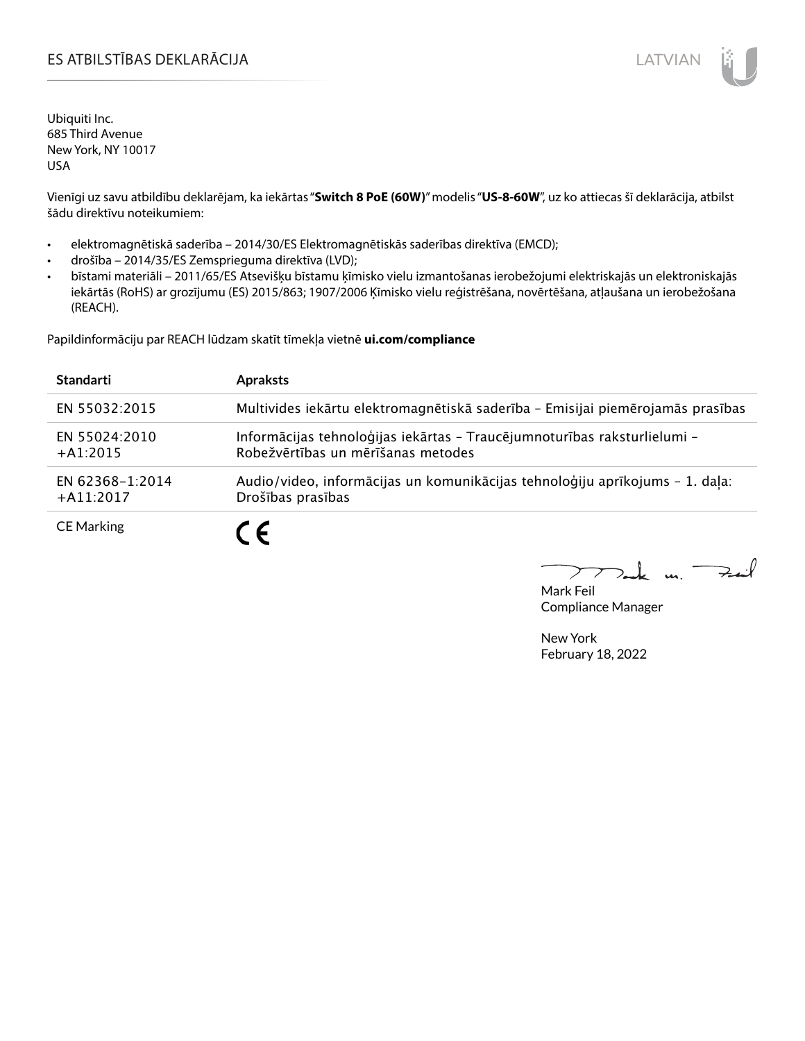### ES ATBILSTĪBAS DEKLARĀCIJA LATVIAN

Ubiquiti Inc. 685 Third Avenue New York, NY 10017 USA

Vienīgi uz savu atbildību deklarējam, ka iekārtas "**Switch 8 PoE (60W)**" modelis "**US-8-60W**", uz ko attiecas šī deklarācija, atbilst šādu direktīvu noteikumiem:

- elektromagnētiskā saderība 2014/30/ES Elektromagnētiskās saderības direktīva (EMCD);
- drošība 2014/35/ES Zemsprieguma direktīva (LVD);
- bīstami materiāli 2011/65/ES Atsevišķu bīstamu ķīmisko vielu izmantošanas ierobežojumi elektriskajās un elektroniskajās iekārtās (RoHS) ar grozījumu (ES) 2015/863; 1907/2006 Ķīmisko vielu reģistrēšana, novērtēšana, atļaušana un ierobežošana (REACH).

Papildinformāciju par REACH lūdzam skatīt tīmekļa vietnē **ui.com/compliance**

| <b>Standarti</b>                | <b>Apraksts</b>                                                                                                |
|---------------------------------|----------------------------------------------------------------------------------------------------------------|
| EN 55032:2015                   | Multivides iekārtu elektromagnētiskā saderība - Emisijai piemērojamās prasības                                 |
| EN 55024:2010<br>$+A1:2015$     | Informācijas tehnoloģijas iekārtas - Traucējumnoturības raksturlielumi -<br>Robežvērtības un mērīšanas metodes |
| EN 62368-1:2014<br>$+$ A11:2017 | Audio/video, informācijas un komunikācijas tehnoloģiju aprīkojums - 1. daļa:<br>Drošības prasības              |
| <b>CE Marking</b>               |                                                                                                                |

 $k$  un  $\rightarrow$ 

Mark Feil Compliance Manager